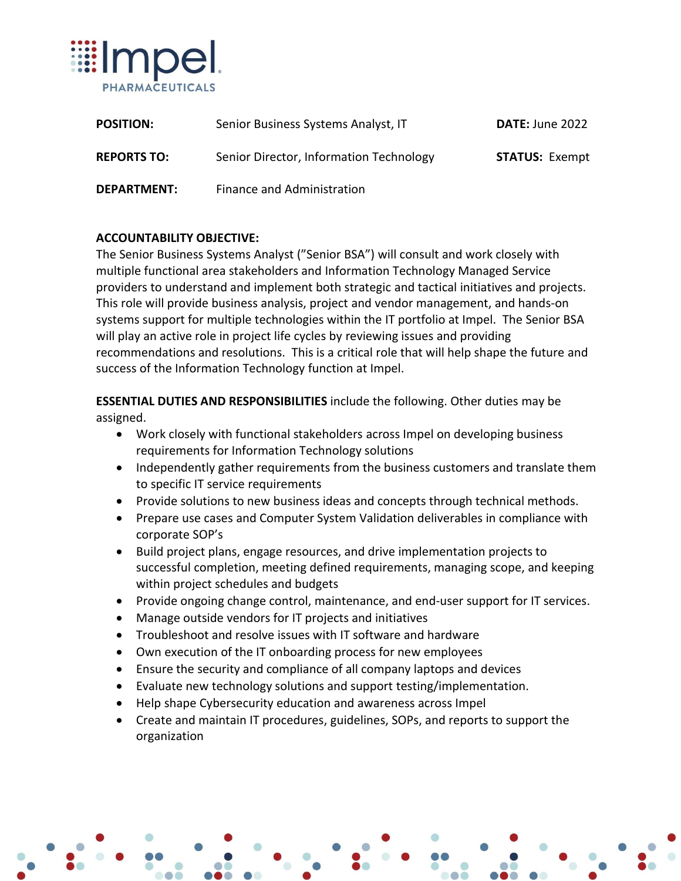

| <b>POSITION:</b>   | Senior Business Systems Analyst, IT     | DATE: June 2022       |
|--------------------|-----------------------------------------|-----------------------|
| <b>REPORTS TO:</b> | Senior Director, Information Technology | <b>STATUS: Exempt</b> |
| <b>DEPARTMENT:</b> | Finance and Administration              |                       |

## **ACCOUNTABILITY OBJECTIVE:**

The Senior Business Systems Analyst ("Senior BSA") will consult and work closely with multiple functional area stakeholders and Information Technology Managed Service providers to understand and implement both strategic and tactical initiatives and projects. This role will provide business analysis, project and vendor management, and hands-on systems support for multiple technologies within the IT portfolio at Impel. The Senior BSA will play an active role in project life cycles by reviewing issues and providing recommendations and resolutions. This is a critical role that will help shape the future and success of the Information Technology function at Impel.

**ESSENTIAL DUTIES AND RESPONSIBILITIES** include the following. Other duties may be assigned.

- Work closely with functional stakeholders across Impel on developing business requirements for Information Technology solutions
- Independently gather requirements from the business customers and translate them to specific IT service requirements
- Provide solutions to new business ideas and concepts through technical methods.
- Prepare use cases and Computer System Validation deliverables in compliance with corporate SOP's
- Build project plans, engage resources, and drive implementation projects to successful completion, meeting defined requirements, managing scope, and keeping within project schedules and budgets
- Provide ongoing change control, maintenance, and end-user support for IT services.
- Manage outside vendors for IT projects and initiatives
- Troubleshoot and resolve issues with IT software and hardware
- Own execution of the IT onboarding process for new employees
- Ensure the security and compliance of all company laptops and devices
- Evaluate new technology solutions and support testing/implementation.
- Help shape Cybersecurity education and awareness across Impel
- Create and maintain IT procedures, guidelines, SOPs, and reports to support the organization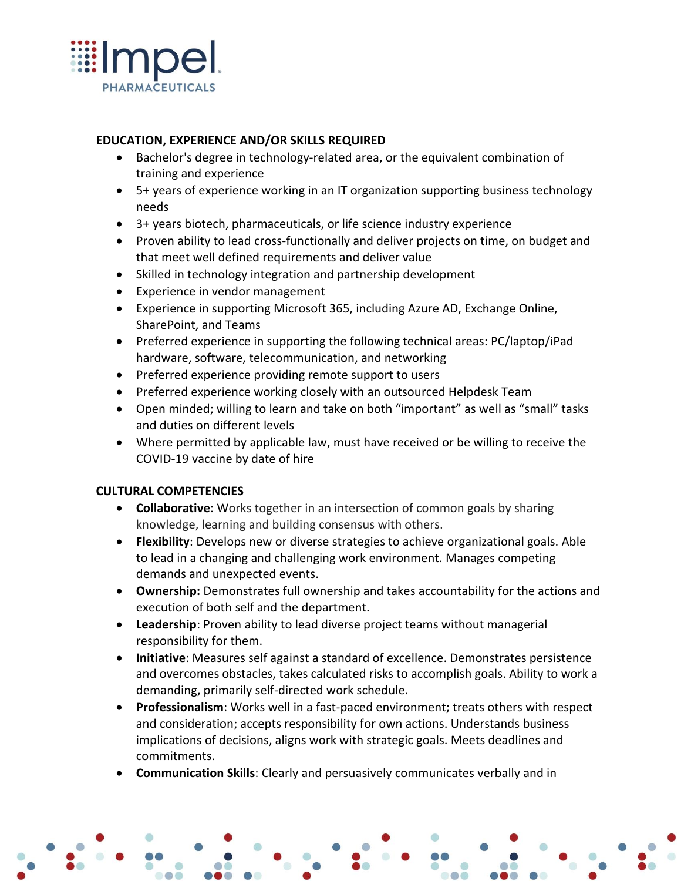

## **EDUCATION, EXPERIENCE AND/OR SKILLS REQUIRED**

- Bachelor's degree in technology-related area, or the equivalent combination of training and experience
- 5+ years of experience working in an IT organization supporting business technology needs
- 3+ years biotech, pharmaceuticals, or life science industry experience
- Proven ability to lead cross-functionally and deliver projects on time, on budget and that meet well defined requirements and deliver value
- Skilled in technology integration and partnership development
- Experience in vendor management
- Experience in supporting Microsoft 365, including Azure AD, Exchange Online, SharePoint, and Teams
- Preferred experience in supporting the following technical areas: PC/laptop/iPad hardware, software, telecommunication, and networking
- Preferred experience providing remote support to users
- Preferred experience working closely with an outsourced Helpdesk Team
- Open minded; willing to learn and take on both "important" as well as "small" tasks and duties on different levels
- Where permitted by applicable law, must have received or be willing to receive the COVID-19 vaccine by date of hire

#### **CULTURAL COMPETENCIES**

- **Collaborative**: Works together in an intersection of common goals by sharing knowledge, learning and building consensus with others.
- **Flexibility**: Develops new or diverse strategies to achieve organizational goals. Able to lead in a changing and challenging work environment. Manages competing demands and unexpected events.
- **Ownership:** Demonstrates full ownership and takes accountability for the actions and execution of both self and the department.
- **Leadership**: Proven ability to lead diverse project teams without managerial responsibility for them.
- **Initiative**: Measures self against a standard of excellence. Demonstrates persistence and overcomes obstacles, takes calculated risks to accomplish goals. Ability to work a demanding, primarily self-directed work schedule.
- **Professionalism**: Works well in a fast-paced environment; treats others with respect and consideration; accepts responsibility for own actions. Understands business implications of decisions, aligns work with strategic goals. Meets deadlines and commitments.
- **Communication Skills**: Clearly and persuasively communicates verbally and in